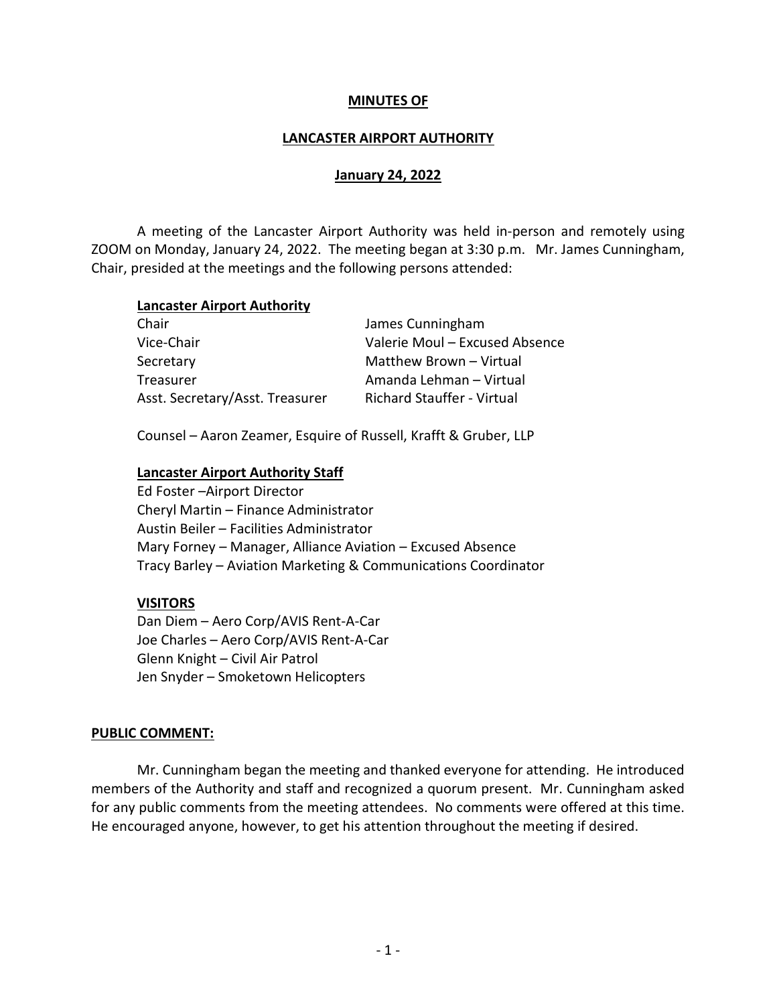## MINUTES OF

### LANCASTER AIRPORT AUTHORITY

## January 24, 2022

 A meeting of the Lancaster Airport Authority was held in-person and remotely using ZOOM on Monday, January 24, 2022. The meeting began at 3:30 p.m. Mr. James Cunningham, Chair, presided at the meetings and the following persons attended:

#### Lancaster Airport Authority

| James Cunningham                  |
|-----------------------------------|
| Valerie Moul - Excused Absence    |
| Matthew Brown - Virtual           |
| Amanda Lehman - Virtual           |
| <b>Richard Stauffer - Virtual</b> |
|                                   |

Counsel – Aaron Zeamer, Esquire of Russell, Krafft & Gruber, LLP

#### Lancaster Airport Authority Staff

Ed Foster –Airport Director Cheryl Martin – Finance Administrator Austin Beiler – Facilities Administrator Mary Forney – Manager, Alliance Aviation – Excused Absence Tracy Barley – Aviation Marketing & Communications Coordinator

#### VISITORS

 Dan Diem – Aero Corp/AVIS Rent-A-Car Joe Charles – Aero Corp/AVIS Rent-A-Car Glenn Knight – Civil Air Patrol Jen Snyder – Smoketown Helicopters

#### PUBLIC COMMENT:

 Mr. Cunningham began the meeting and thanked everyone for attending. He introduced members of the Authority and staff and recognized a quorum present. Mr. Cunningham asked for any public comments from the meeting attendees. No comments were offered at this time. He encouraged anyone, however, to get his attention throughout the meeting if desired.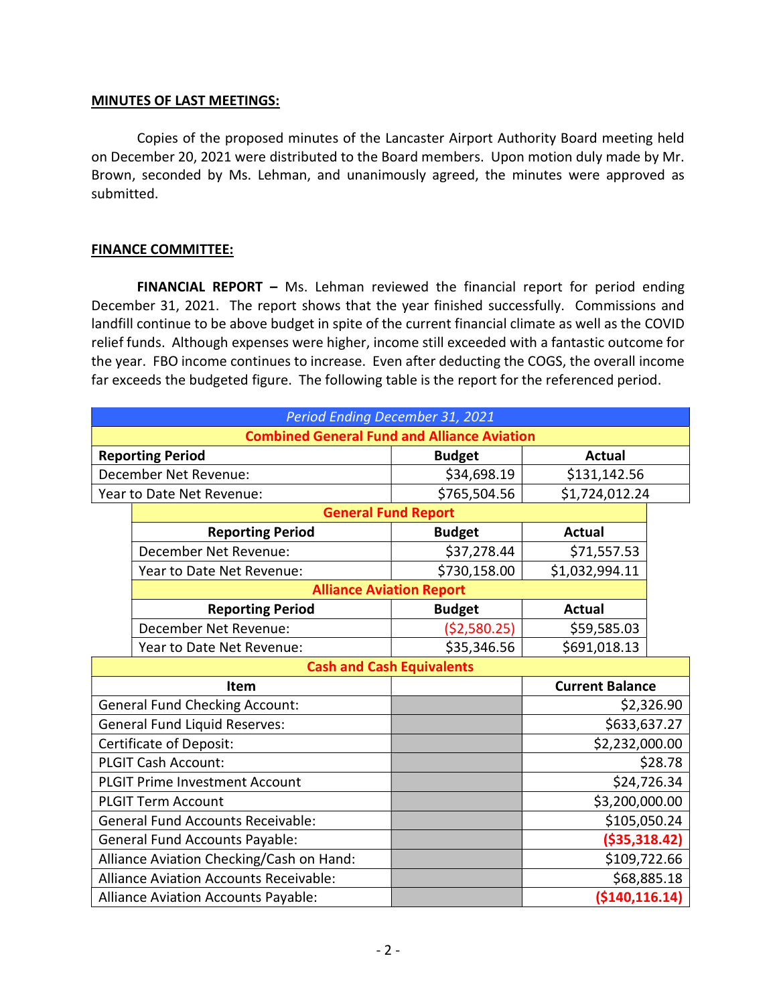### MINUTES OF LAST MEETINGS:

 Copies of the proposed minutes of the Lancaster Airport Authority Board meeting held on December 20, 2021 were distributed to the Board members. Upon motion duly made by Mr. Brown, seconded by Ms. Lehman, and unanimously agreed, the minutes were approved as submitted.

## FINANCE COMMITTEE:

FINANCIAL REPORT - Ms. Lehman reviewed the financial report for period ending December 31, 2021. The report shows that the year finished successfully. Commissions and landfill continue to be above budget in spite of the current financial climate as well as the COVID relief funds. Although expenses were higher, income still exceeded with a fantastic outcome for the year. FBO income continues to increase. Even after deducting the COGS, the overall income far exceeds the budgeted figure. The following table is the report for the referenced period.

| Period Ending December 31, 2021                    |                                               |               |                        |             |  |
|----------------------------------------------------|-----------------------------------------------|---------------|------------------------|-------------|--|
| <b>Combined General Fund and Alliance Aviation</b> |                                               |               |                        |             |  |
| <b>Reporting Period</b>                            |                                               | <b>Budget</b> | <b>Actual</b>          |             |  |
| December Net Revenue:                              |                                               | \$34,698.19   | \$131,142.56           |             |  |
| Year to Date Net Revenue:                          |                                               | \$765,504.56  | \$1,724,012.24         |             |  |
|                                                    | <b>General Fund Report</b>                    |               |                        |             |  |
|                                                    | <b>Reporting Period</b>                       | <b>Budget</b> | <b>Actual</b>          |             |  |
|                                                    | December Net Revenue:                         | \$37,278.44   | \$71,557.53            |             |  |
|                                                    | Year to Date Net Revenue:                     | \$730,158.00  | \$1,032,994.11         |             |  |
|                                                    | <b>Alliance Aviation Report</b>               |               |                        |             |  |
|                                                    | <b>Reporting Period</b>                       | <b>Budget</b> | Actual                 |             |  |
|                                                    | December Net Revenue:                         | (52,580.25)   | \$59,585.03            |             |  |
|                                                    | Year to Date Net Revenue:                     | \$35,346.56   | \$691,018.13           |             |  |
|                                                    | <b>Cash and Cash Equivalents</b>              |               |                        |             |  |
|                                                    | <b>Item</b>                                   |               | <b>Current Balance</b> |             |  |
| <b>General Fund Checking Account:</b>              |                                               |               |                        | \$2,326.90  |  |
| <b>General Fund Liquid Reserves:</b>               |                                               |               | \$633,637.27           |             |  |
| <b>Certificate of Deposit:</b>                     |                                               |               | \$2,232,000.00         |             |  |
| PLGIT Cash Account:                                |                                               |               |                        | \$28.78     |  |
| <b>PLGIT Prime Investment Account</b>              |                                               |               |                        | \$24,726.34 |  |
|                                                    | <b>PLGIT Term Account</b>                     |               | \$3,200,000.00         |             |  |
| <b>General Fund Accounts Receivable:</b>           |                                               |               | \$105,050.24           |             |  |
| <b>General Fund Accounts Payable:</b>              |                                               |               | ( \$35, 318.42)        |             |  |
| Alliance Aviation Checking/Cash on Hand:           |                                               |               | \$109,722.66           |             |  |
|                                                    | <b>Alliance Aviation Accounts Receivable:</b> |               |                        | \$68,885.18 |  |
| Alliance Aviation Accounts Payable:                |                                               |               | ( \$140, 116.14)       |             |  |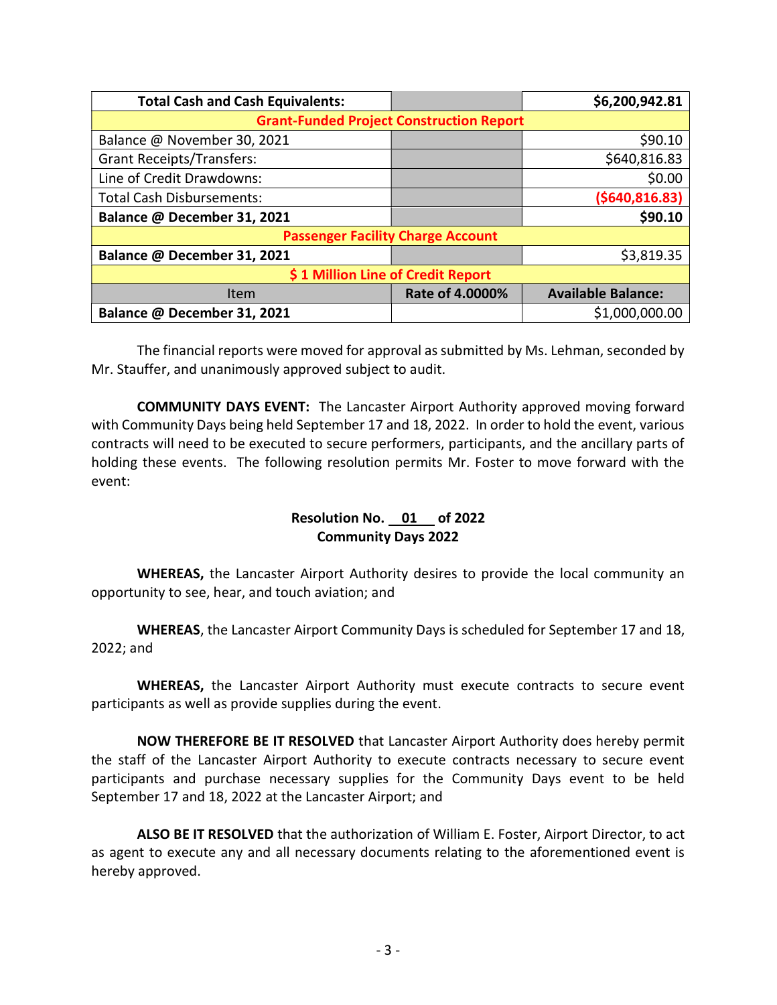| <b>Total Cash and Cash Equivalents:</b>         |                 | \$6,200,942.81            |  |  |
|-------------------------------------------------|-----------------|---------------------------|--|--|
| <b>Grant-Funded Project Construction Report</b> |                 |                           |  |  |
| Balance @ November 30, 2021                     |                 | \$90.10                   |  |  |
| <b>Grant Receipts/Transfers:</b>                |                 | \$640,816.83              |  |  |
| Line of Credit Drawdowns:                       |                 | \$0.00                    |  |  |
| <b>Total Cash Disbursements:</b>                |                 | ( \$640, 816.83)          |  |  |
| Balance @ December 31, 2021                     |                 | \$90.10                   |  |  |
| <b>Passenger Facility Charge Account</b>        |                 |                           |  |  |
| Balance @ December 31, 2021                     |                 | \$3,819.35                |  |  |
| \$1 Million Line of Credit Report               |                 |                           |  |  |
| Item                                            | Rate of 4.0000% | <b>Available Balance:</b> |  |  |
| Balance @ December 31, 2021                     |                 | \$1,000,000.00            |  |  |

The financial reports were moved for approval as submitted by Ms. Lehman, seconded by Mr. Stauffer, and unanimously approved subject to audit.

COMMUNITY DAYS EVENT: The Lancaster Airport Authority approved moving forward with Community Days being held September 17 and 18, 2022. In order to hold the event, various contracts will need to be executed to secure performers, participants, and the ancillary parts of holding these events. The following resolution permits Mr. Foster to move forward with the event:

# Resolution No. 01 of 2022 Community Days 2022

WHEREAS, the Lancaster Airport Authority desires to provide the local community an opportunity to see, hear, and touch aviation; and

WHEREAS, the Lancaster Airport Community Days is scheduled for September 17 and 18, 2022; and

WHEREAS, the Lancaster Airport Authority must execute contracts to secure event participants as well as provide supplies during the event.

NOW THEREFORE BE IT RESOLVED that Lancaster Airport Authority does hereby permit the staff of the Lancaster Airport Authority to execute contracts necessary to secure event participants and purchase necessary supplies for the Community Days event to be held September 17 and 18, 2022 at the Lancaster Airport; and

ALSO BE IT RESOLVED that the authorization of William E. Foster, Airport Director, to act as agent to execute any and all necessary documents relating to the aforementioned event is hereby approved.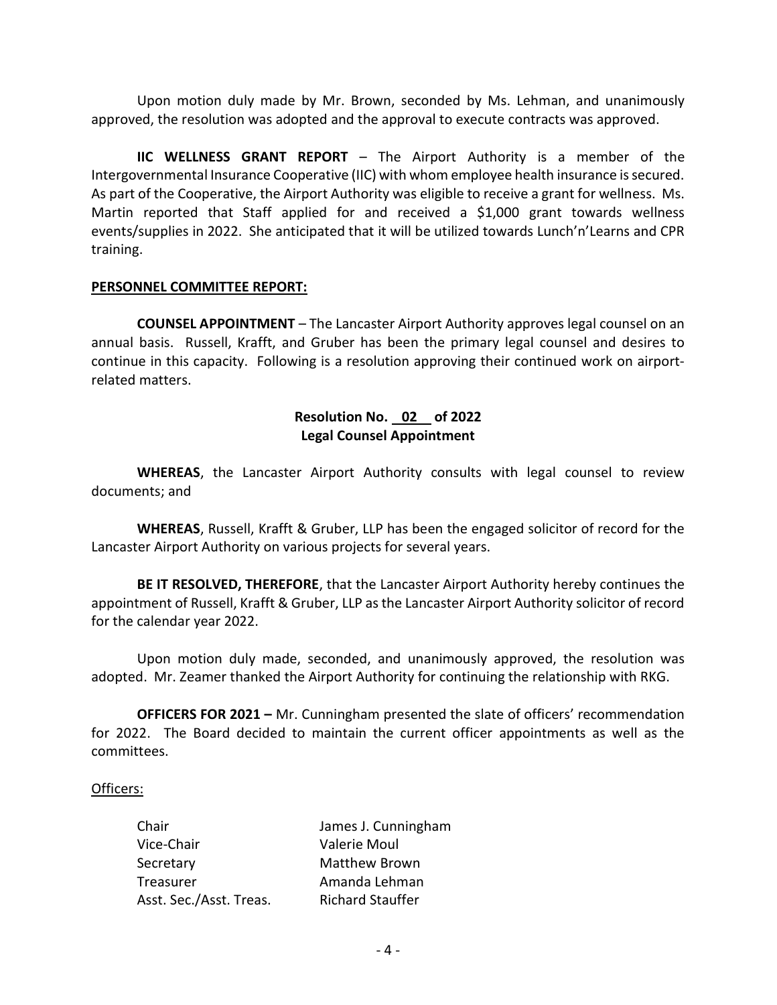Upon motion duly made by Mr. Brown, seconded by Ms. Lehman, and unanimously approved, the resolution was adopted and the approval to execute contracts was approved.

IIC WELLNESS GRANT REPORT – The Airport Authority is a member of the Intergovernmental Insurance Cooperative (IIC) with whom employee health insurance is secured. As part of the Cooperative, the Airport Authority was eligible to receive a grant for wellness. Ms. Martin reported that Staff applied for and received a \$1,000 grant towards wellness events/supplies in 2022. She anticipated that it will be utilized towards Lunch'n'Learns and CPR training.

#### PERSONNEL COMMITTEE REPORT:

COUNSEL APPOINTMENT – The Lancaster Airport Authority approves legal counsel on an annual basis. Russell, Krafft, and Gruber has been the primary legal counsel and desires to continue in this capacity. Following is a resolution approving their continued work on airportrelated matters.

# Resolution No. 02 of 2022 Legal Counsel Appointment

WHEREAS, the Lancaster Airport Authority consults with legal counsel to review documents; and

WHEREAS, Russell, Krafft & Gruber, LLP has been the engaged solicitor of record for the Lancaster Airport Authority on various projects for several years.

BE IT RESOLVED, THEREFORE, that the Lancaster Airport Authority hereby continues the appointment of Russell, Krafft & Gruber, LLP as the Lancaster Airport Authority solicitor of record for the calendar year 2022.

 Upon motion duly made, seconded, and unanimously approved, the resolution was adopted. Mr. Zeamer thanked the Airport Authority for continuing the relationship with RKG.

**OFFICERS FOR 2021 –** Mr. Cunningham presented the slate of officers' recommendation for 2022. The Board decided to maintain the current officer appointments as well as the committees.

#### Officers:

| Chair                   | James J. Cunningham     |
|-------------------------|-------------------------|
| Vice-Chair              | Valerie Moul            |
| Secretary               | <b>Matthew Brown</b>    |
| Treasurer               | Amanda Lehman           |
| Asst. Sec./Asst. Treas. | <b>Richard Stauffer</b> |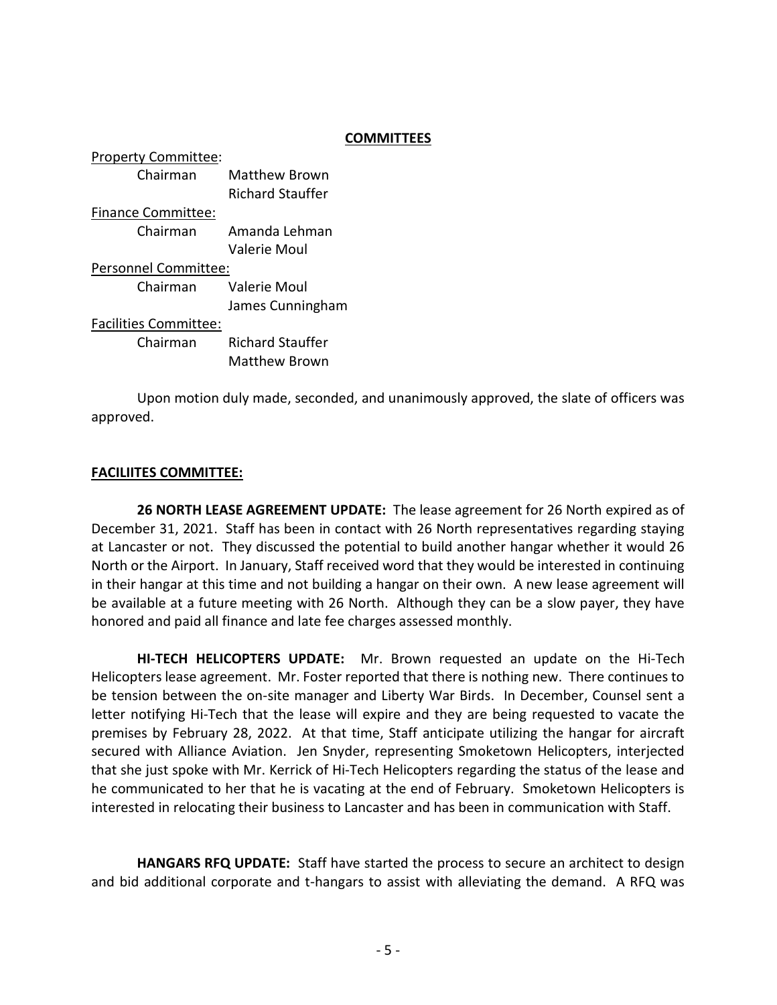## **COMMITTEES**

| <b>Property Committee:</b>   |                         |  |
|------------------------------|-------------------------|--|
| Chairman                     | Matthew Brown           |  |
|                              | <b>Richard Stauffer</b> |  |
| <b>Finance Committee:</b>    |                         |  |
| Chairman                     | Amanda Lehman           |  |
|                              | Valerie Moul            |  |
| Personnel Committee:         |                         |  |
| Chairman                     | <b>Valerie Moul</b>     |  |
|                              | James Cunningham        |  |
| <b>Facilities Committee:</b> |                         |  |
| Chairman                     | <b>Richard Stauffer</b> |  |
|                              | <b>Matthew Brown</b>    |  |

 Upon motion duly made, seconded, and unanimously approved, the slate of officers was approved.

## FACILIITES COMMITTEE:

26 NORTH LEASE AGREEMENT UPDATE: The lease agreement for 26 North expired as of December 31, 2021. Staff has been in contact with 26 North representatives regarding staying at Lancaster or not. They discussed the potential to build another hangar whether it would 26 North or the Airport. In January, Staff received word that they would be interested in continuing in their hangar at this time and not building a hangar on their own. A new lease agreement will be available at a future meeting with 26 North. Although they can be a slow payer, they have honored and paid all finance and late fee charges assessed monthly.

HI-TECH HELICOPTERS UPDATE: Mr. Brown requested an update on the Hi-Tech Helicopters lease agreement. Mr. Foster reported that there is nothing new. There continues to be tension between the on-site manager and Liberty War Birds. In December, Counsel sent a letter notifying Hi-Tech that the lease will expire and they are being requested to vacate the premises by February 28, 2022. At that time, Staff anticipate utilizing the hangar for aircraft secured with Alliance Aviation. Jen Snyder, representing Smoketown Helicopters, interjected that she just spoke with Mr. Kerrick of Hi-Tech Helicopters regarding the status of the lease and he communicated to her that he is vacating at the end of February. Smoketown Helicopters is interested in relocating their business to Lancaster and has been in communication with Staff.

HANGARS RFQ UPDATE: Staff have started the process to secure an architect to design and bid additional corporate and t-hangars to assist with alleviating the demand. A RFQ was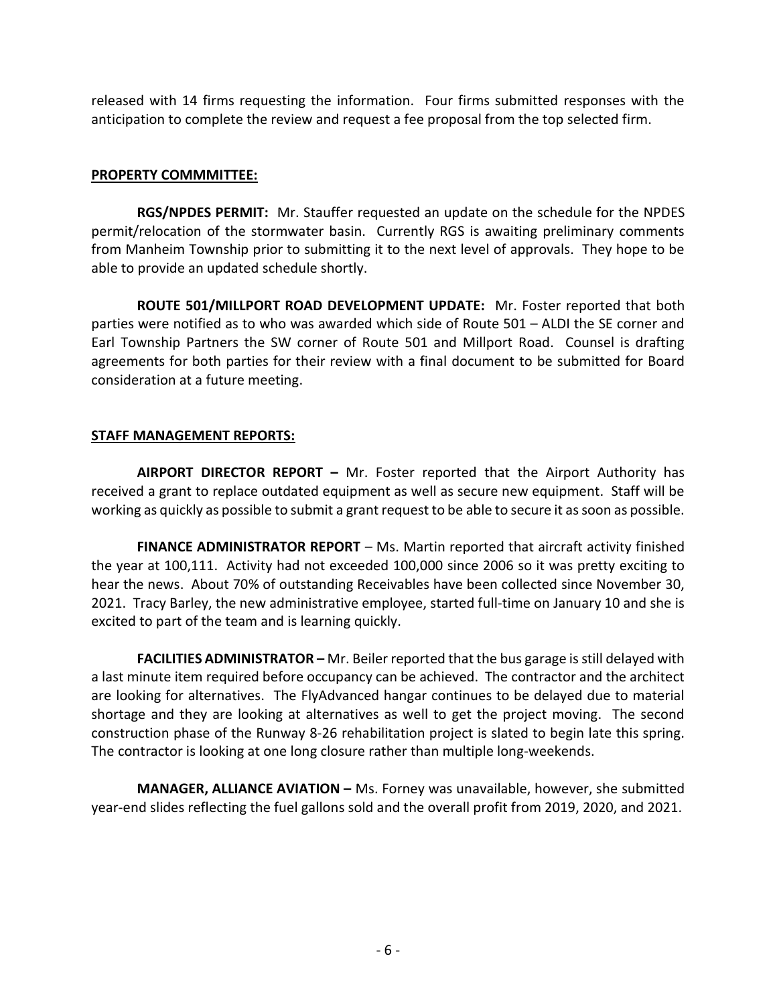released with 14 firms requesting the information. Four firms submitted responses with the anticipation to complete the review and request a fee proposal from the top selected firm.

# PROPERTY COMMMITTEE:

RGS/NPDES PERMIT: Mr. Stauffer requested an update on the schedule for the NPDES permit/relocation of the stormwater basin. Currently RGS is awaiting preliminary comments from Manheim Township prior to submitting it to the next level of approvals. They hope to be able to provide an updated schedule shortly.

ROUTE 501/MILLPORT ROAD DEVELOPMENT UPDATE: Mr. Foster reported that both parties were notified as to who was awarded which side of Route 501 – ALDI the SE corner and Earl Township Partners the SW corner of Route 501 and Millport Road. Counsel is drafting agreements for both parties for their review with a final document to be submitted for Board consideration at a future meeting.

# STAFF MANAGEMENT REPORTS:

AIRPORT DIRECTOR REPORT - Mr. Foster reported that the Airport Authority has received a grant to replace outdated equipment as well as secure new equipment. Staff will be working as quickly as possible to submit a grant request to be able to secure it as soon as possible.

FINANCE ADMINISTRATOR REPORT – Ms. Martin reported that aircraft activity finished the year at 100,111. Activity had not exceeded 100,000 since 2006 so it was pretty exciting to hear the news. About 70% of outstanding Receivables have been collected since November 30, 2021. Tracy Barley, the new administrative employee, started full-time on January 10 and she is excited to part of the team and is learning quickly.

FACILITIES ADMINISTRATOR - Mr. Beiler reported that the bus garage is still delayed with a last minute item required before occupancy can be achieved. The contractor and the architect are looking for alternatives. The FlyAdvanced hangar continues to be delayed due to material shortage and they are looking at alternatives as well to get the project moving. The second construction phase of the Runway 8-26 rehabilitation project is slated to begin late this spring. The contractor is looking at one long closure rather than multiple long-weekends.

MANAGER, ALLIANCE AVIATION – Ms. Forney was unavailable, however, she submitted year-end slides reflecting the fuel gallons sold and the overall profit from 2019, 2020, and 2021.